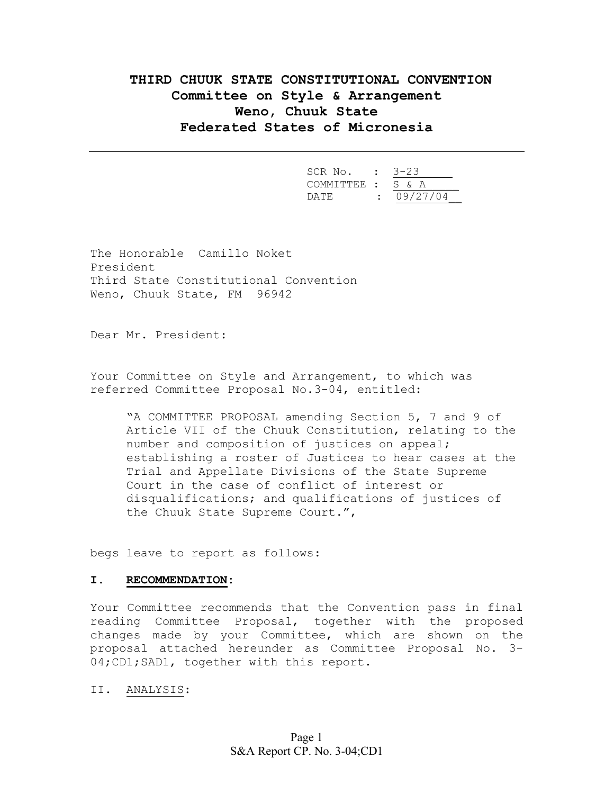# **THIRD CHUUK STATE CONSTITUTIONAL CONVENTION Committee on Style & Arrangement Weno, Chuuk State Federated States of Micronesia**

| SCR No. : 3-23    |            |
|-------------------|------------|
| COMMITTEE : S & A |            |
| DATE.             | : 09/27/04 |

The Honorable Camillo Noket President Third State Constitutional Convention Weno, Chuuk State, FM 96942

Dear Mr. President:

Your Committee on Style and Arrangement, to which was referred Committee Proposal No.3-04, entitled:

"A COMMITTEE PROPOSAL amending Section 5, 7 and 9 of Article VII of the Chuuk Constitution, relating to the number and composition of justices on appeal; establishing a roster of Justices to hear cases at the Trial and Appellate Divisions of the State Supreme Court in the case of conflict of interest or disqualifications; and qualifications of justices of the Chuuk State Supreme Court.",

begs leave to report as follows:

## **I. RECOMMENDATION:**

Your Committee recommends that the Convention pass in final reading Committee Proposal, together with the proposed changes made by your Committee, which are shown on the proposal attached hereunder as Committee Proposal No. 3- 04; CD1; SAD1, together with this report.

II. ANALYSIS: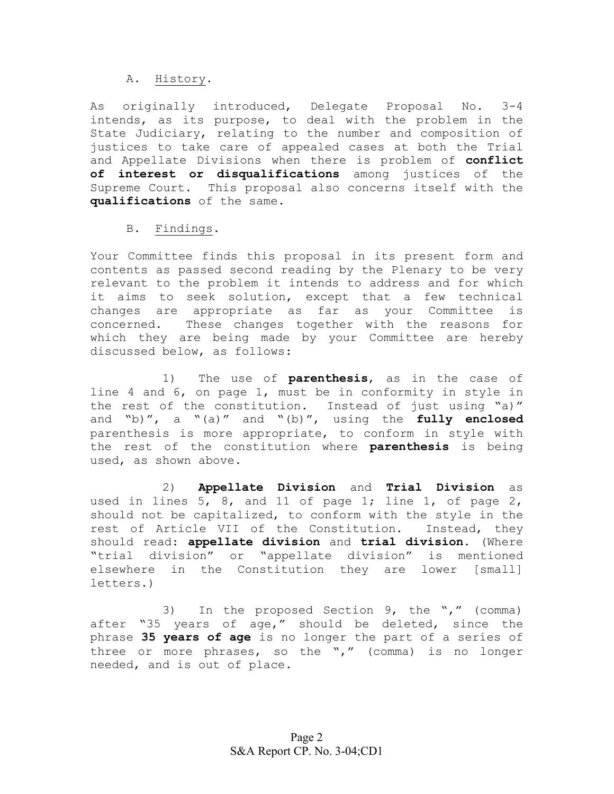## A. History.

As originally introduced, Delegate Proposal No. 3-4 intends, as its purpose, to deal with the problem in the State Judiciary, relating to the number and composition of justices to take care of appealed cases at both the Trial and Appellate Divisions when there is problem of **conflict of interest or disqualifications** among justices of the Supreme Court. This proposal also concerns itself with the **qualifications** of the same.

## B. Findings.

Your Committee finds this proposal in its present form and contents as passed second reading by the Plenary to be very relevant to the problem it intends to address and for which it aims to seek solution, except that a few technical changes are appropriate as far as your Committee is concerned. These changes together with the reasons for which they are being made by your Committee are hereby discussed below, as follows:

1) The use of **parenthesis**, as in the case of line 4 and 6, on page 1, must be in conformity in style in the rest of the constitution. Instead of just using "a)" and "b)", a "(a)" and "(b)", using the **fully enclosed** parenthesis is more appropriate, to conform in style with the rest of the constitution where **parenthesis** is being used, as shown above.

 2) **Appellate Division** and **Trial Division** as used in lines 5, 8, and 11 of page 1; line 1, of page 2, should not be capitalized, to conform with the style in the rest of Article VII of the Constitution. Instead, they should read: **appellate division** and **trial division**. (Where "trial division" or "appellate division" is mentioned elsewhere in the Constitution they are lower [small] letters.)

3) In the proposed Section 9, the "," (comma) after "35 years of age," should be deleted, since the phrase **35 years of age** is no longer the part of a series of three or more phrases, so the "," (comma) is no longer needed, and is out of place.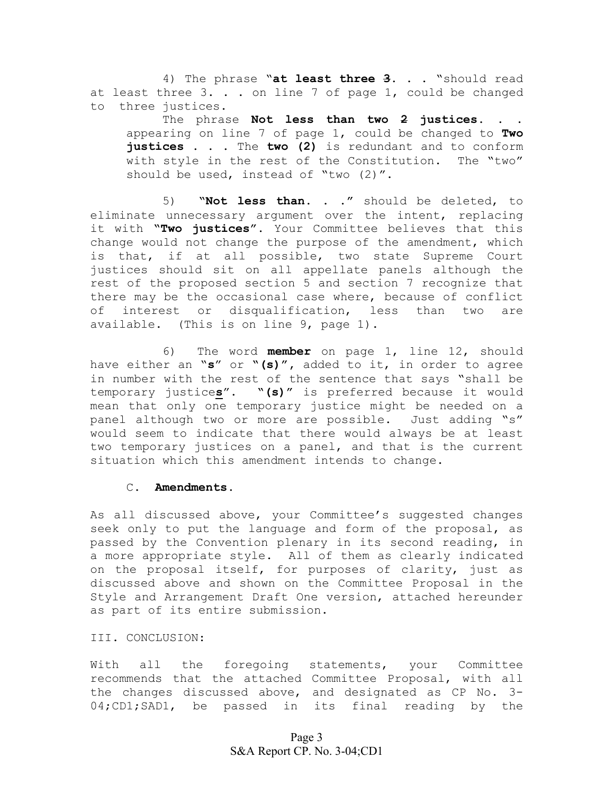4) The phrase "**at least three 3**. . . "should read at least three  $3. . .$  on line 7 of page 1, could be changed to three justices.

The phrase **Not less than two 2 justices**. . . appearing on line 7 of page 1, could be changed to **Two justices** . . . The **two (2)** is redundant and to conform with style in the rest of the Constitution. The "two" should be used, instead of "two (2)".

 5) **"Not less than. . ."** should be deleted, to eliminate unnecessary argument over the intent, replacing it with **"Two justices".** Your Committee believes that this change would not change the purpose of the amendment, which is that, if at all possible, two state Supreme Court justices should sit on all appellate panels although the rest of the proposed section 5 and section 7 recognize that there may be the occasional case where, because of conflict of interest or disqualification, less than two are available. (This is on line 9, page 1).

6) The word **member** on page 1, line 12, should have either an "**s**" or **"(s)",** added to it, in order to agree in number with the rest of the sentence that says "shall be temporary justice**s**". **"(s)"** is preferred because it would mean that only one temporary justice might be needed on a panel although two or more are possible. Just adding "s" would seem to indicate that there would always be at least two temporary justices on a panel, and that is the current situation which this amendment intends to change.

## C. **Amendments.**

As all discussed above, your Committee's suggested changes seek only to put the language and form of the proposal, as passed by the Convention plenary in its second reading, in a more appropriate style. All of them as clearly indicated on the proposal itself, for purposes of clarity, just as discussed above and shown on the Committee Proposal in the Style and Arrangement Draft One version, attached hereunder as part of its entire submission.

III. CONCLUSION:

With all the foregoing statements, your Committee recommends that the attached Committee Proposal, with all the changes discussed above, and designated as CP No. 3- 04; CD1; SAD1, be passed in its final reading by the